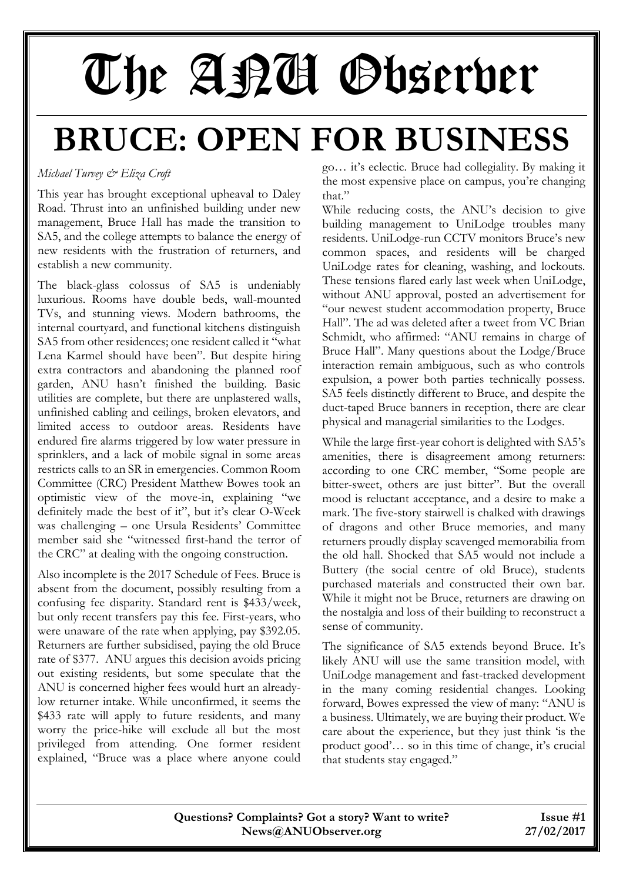# The APU Observer

## **BRUCE: OPEN FOR BUSINESS**

#### *Michael Turvey & Eliza Croft*

This year has brought exceptional upheaval to Daley Road. Thrust into an unfinished building under new management, Bruce Hall has made the transition to SA5, and the college attempts to balance the energy of new residents with the frustration of returners, and establish a new community.

The black-glass colossus of SA5 is undeniably luxurious. Rooms have double beds, wall-mounted TVs, and stunning views. Modern bathrooms, the internal courtyard, and functional kitchens distinguish SA5 from other residences; one resident called it "what Lena Karmel should have been". But despite hiring extra contractors and abandoning the planned roof garden, ANU hasn't finished the building. Basic utilities are complete, but there are unplastered walls, unfinished cabling and ceilings, broken elevators, and limited access to outdoor areas. Residents have endured fire alarms triggered by low water pressure in sprinklers, and a lack of mobile signal in some areas restricts calls to an SR in emergencies. Common Room Committee (CRC) President Matthew Bowes took an optimistic view of the move-in, explaining "we definitely made the best of it", but it's clear O-Week was challenging – one Ursula Residents' Committee member said she "witnessed first-hand the terror of the CRC" at dealing with the ongoing construction.

Also incomplete is the 2017 Schedule of Fees. Bruce is absent from the document, possibly resulting from a confusing fee disparity. Standard rent is \$433/week, but only recent transfers pay this fee. First-years, who were unaware of the rate when applying, pay \$392.05. Returners are further subsidised, paying the old Bruce rate of \$377. ANU argues this decision avoids pricing out existing residents, but some speculate that the ANU is concerned higher fees would hurt an alreadylow returner intake. While unconfirmed, it seems the \$433 rate will apply to future residents, and many worry the price-hike will exclude all but the most privileged from attending. One former resident explained, "Bruce was a place where anyone could

go… it's eclectic. Bruce had collegiality. By making it the most expensive place on campus, you're changing that."

While reducing costs, the ANU's decision to give building management to UniLodge troubles many residents. UniLodge-run CCTV monitors Bruce's new common spaces, and residents will be charged UniLodge rates for cleaning, washing, and lockouts. These tensions flared early last week when UniLodge, without ANU approval, posted an advertisement for "our newest student accommodation property, Bruce Hall". The ad was deleted after a tweet from VC Brian Schmidt, who affirmed: "ANU remains in charge of Bruce Hall". Many questions about the Lodge/Bruce interaction remain ambiguous, such as who controls expulsion, a power both parties technically possess. SA5 feels distinctly different to Bruce, and despite the duct-taped Bruce banners in reception, there are clear physical and managerial similarities to the Lodges.

While the large first-year cohort is delighted with SA5's amenities, there is disagreement among returners: according to one CRC member, "Some people are bitter-sweet, others are just bitter". But the overall mood is reluctant acceptance, and a desire to make a mark. The five-story stairwell is chalked with drawings of dragons and other Bruce memories, and many returners proudly display scavenged memorabilia from the old hall. Shocked that SA5 would not include a Buttery (the social centre of old Bruce), students purchased materials and constructed their own bar. While it might not be Bruce, returners are drawing on the nostalgia and loss of their building to reconstruct a sense of community.

The significance of SA5 extends beyond Bruce. It's likely ANU will use the same transition model, with UniLodge management and fast-tracked development in the many coming residential changes. Looking forward, Bowes expressed the view of many: "ANU is a business. Ultimately, we are buying their product. We care about the experience, but they just think 'is the product good'… so in this time of change, it's crucial that students stay engaged."

| Questions? Complaints? Got a story? Want to write? | Issue #1   |
|----------------------------------------------------|------------|
| News@ANDObserver.org                               | 27/02/2017 |